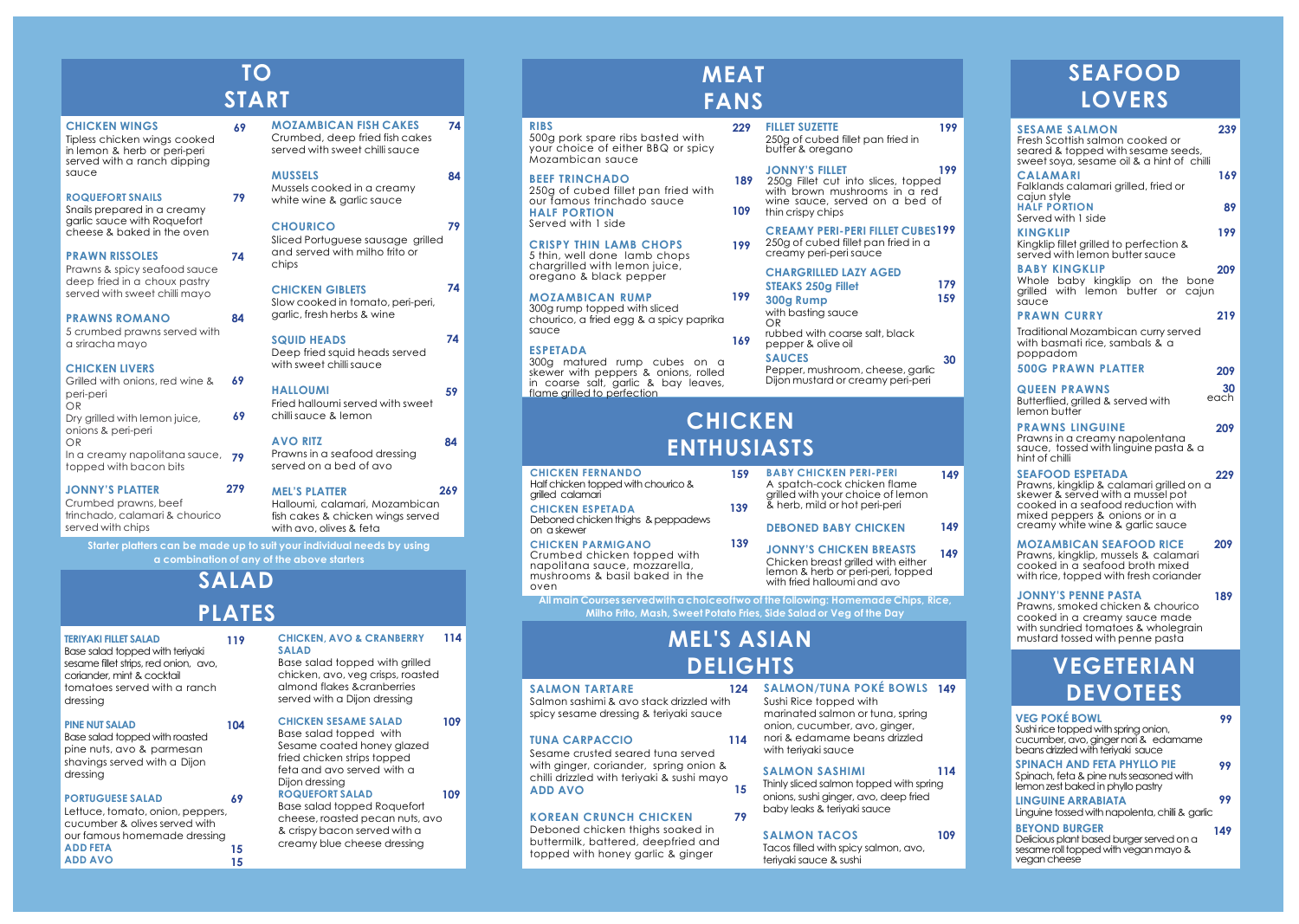**All main Courses servedwith a choiceoftwo of the following: Homemade Chips, Rice, Milho Frito, Mash, Sweet Potato Fries, Side Salad or Veg of the Day**

#### **CHICKEN WINGS**

Tipless chicken wings cooked in lemon & herb or peri-peri served with a ranch dipping sauce

#### **ROQUEFORT SNAILS**

Snails prepared in a creamy garlic sauce with Roquefort cheese & baked in the oven

#### **PRAWN RISSOLES**

Prawns & spicy seafood sauce deep fried in a choux pastry served with sweet chilli mayo

#### **PRAWNS ROMANO**

5 crumbed prawns served with a sriracha mayo

#### **CHICKEN LIVERS**

#### **JONNY'S PLATTER**

Crumbed prawns, beef trinchado, calamari & chourico served with chips

served with sweet chilli sauce

#### **MUSSELS**

Mussels cooked in a creamy white wine & garlic sauce

#### **CHOURICO**

Sliced Portuguese sausage grilled and served with milho frito or chips

#### **CHICKEN GIBLETS**

Slow cooked in tomato, peri-peri, garlic, fresh herbs & wine

#### **SQUID HEADS**

Deep fried squid heads served with sweet chilli sauce

#### **HALLOUMI**

Fried halloumi served with sweet chilli sauce & lemon

## **AVO RITZ**

Prawns in a seafood dressing served on a bed of avo

Halloumi, calamari, Mozambican fish cakes & chicken wings served with avo, olives & feta

#### **TERIYAKI FILLET SALAD**

Base salad topped with teriyaki sesame fillet strips, red onion, avo, coriander, mint & cocktail tomatoes served with a ranch dressing

**119**

#### **PINE NUT SALAD**

Base salad topped with roasted pine nuts, avo & parmesan shavings served with a Dijon dressing

**104**

#### **PORTUGUESE SALAD**

#### **CHICKEN, AVO & CRANBERRY 114 SALAD**

Base salad topped with grilled chicken, avo, veg crisps, roasted almond flakes &cranberries served with a Dijon dressing

#### **CHICKEN SESAME SALAD**

Base salad topped with Sesame coated honey glazed fried chicken strips topped feta and avo served with a Dijon dressing

Base salad topped Roquefort cheese, roasted pecan nuts, avo & crispy bacon served with a creamy blue cheese dressing

#### **RIBS**

500g pork spare ribs basted with your choice of either BBQ or spicy Mozambican sauce

#### **BEEF TRINCHADO**

250g of cubed fillet pan fried with our famous trinchado sauce **HALF PORTION** Served with 1 side

#### **CRISPY THIN LAMB CHOPS** 5 thin, well done lamb chops

chargrilled with lemon juice, oregano & black pepper

#### **MOZAMBICAN RUMP**

300g rump topped with sliced chourico, a fried egg & a spicy paprika sauce

#### **ESPETADA**

300g matured rump cubes on a skewer with peppers & onions, rolled in coarse salt, garlic & bay leaves, flame grilled to perfection

250g of cubed fillet pan fried in butter & oregano

with basting sauce OR

**199**

## **SAUCES**

Pepper, mushroom, cheese, garlic Dijon mustard or creamy peri-peri

**CHICKEN FERNANDO** Half chicken topped with chourico & grilled calamari

**CHICKEN ESPETADA** Deboned chicken thighs & peppadews on a skewer

#### **CHICKEN PARMIGANO** Crumbed chicken topped with napolitana sauce, mozzarella, mushrooms & basil baked in the

| Grilled with onions, red wine & | 69 |
|---------------------------------|----|
| peri-peri                       |    |
| OR                              |    |
| Dry grilled with lemon juice,   | 69 |
| onions & peri-peri              |    |
| OR                              |    |
| In a creamy napolitana sauce,   | 79 |
| topped with bacon bits          |    |
|                                 |    |

**BABY CHICKEN PERI-PERI** A spatch-cock chicken flame grilled with your choice of lemon & herb, mild or hot peri-peri **DEBONED BABY CHICKEN JONNY'S CHICKEN BREASTS** Chicken breast grilled with either

#### **MOZAMBICAN FISH CAKES** Crumbed, deep fried fish cakes **74**

lemon & herb or peri-peri, topped with fried halloumi and avo

# **SEAFOOD LOVERS**

#### **MEL'S PLATTER 279 269**

## **ROQUEFORT SALAD 109 69**

Lettuce, tomato, onion, peppers, cucumber & olives served with our famous homemade dressing **ADD FETA ADD AVO 15 15**

## **FILLET SUZETTE 229**

**300g Rump 199**

#### **STEAKS 250g Fillet CHARGRILLED LAZY AGED**

rubbed with coarse salt, black pepper & olive oil **169**

| <b>SESAME SALMON</b><br>Fresh Scottish salmon cooked or<br>seared & topped with sesame seeds,<br>sweet soya, sesame oil & a hint of chilli                                                                           | 239        |
|----------------------------------------------------------------------------------------------------------------------------------------------------------------------------------------------------------------------|------------|
| <b>CALAMARI</b><br>Falklands calamari grilled, fried or<br>cajun style                                                                                                                                               | 169        |
| <b>HALF PORTION</b><br>Served with 1 side                                                                                                                                                                            | 89         |
| <b>KINGKLIP</b><br>Kingklip fillet grilled to perfection &<br>served with lemon butter sauce                                                                                                                         | 199        |
| <b>BABY KINGKLIP</b><br>Whole baby kingklip on the bone<br>grilled with lemon butter or<br>cajun<br>sauce                                                                                                            | 209        |
| <b>PRAWN CURRY</b><br>Traditional Mozambican curry served<br>with basmati rice, sambals & a<br>poppadom                                                                                                              | 219        |
| <b>500G PRAWN PLATTER</b>                                                                                                                                                                                            | 209        |
| <b>QUEEN PRAWNS</b><br>Butterflied, grilled & served with<br>lemon butter                                                                                                                                            | 30<br>each |
| <b>PRAWNS LINGUINE</b><br>Prawns in a creamy napolentana<br>sauce, tossed with linguine pasta & a<br>hint of chilli                                                                                                  | 209        |
| <b>SEAFOOD ESPETADA</b><br>Prawns, kingklip & calamari grilled on a<br>skewer & served with a mussel pot<br>cooked in a seafood reduction with<br>mixed peppers & onions or in a<br>creamy white wine & garlic sauce | 229        |
| <b>MOZAMBICAN SEAFOOD RICE</b><br>Prawns, kingklip, mussels & calamari<br>cooked in a seafood broth mixed<br>with rice, topped with fresh coriander                                                                  | 209        |
| <b>JONNY'S PENNE PASTA</b><br>Prawns, smoked chicken & chourico<br>cooked in a creamy sauce made<br>with sundried tomatoes & wholegrain<br>mustard tossed with penne pasta                                           | 189        |
| VEGETERIAN                                                                                                                                                                                                           |            |
| <b>DEVOTEES</b>                                                                                                                                                                                                      |            |
| <b>VEG POKÉ BOWL</b><br>Sushi rice topped with spring onion,<br>cucumber, avo, ginger nori & edamame                                                                                                                 | 99         |
| beans drizzled with teriyaki sauce<br><b>SPINACH AND FETA PHYLLO PIE</b><br>Spinach, feta & pine nuts seasoned with<br>lemon zest baked in phyllo pastry                                                             | 99         |
| <b>LINGUINE ARRABIATA</b><br>Linguine tossed with napolenta, chilli & garlic                                                                                                                                         | 99         |
| <b>BEYOND BURGER</b><br>Delicious plant based burger served on a<br>sesame roll topped with vegan mayo &<br>vegan cheese                                                                                             | 149        |

oven **139**

## **MEAT FANS**

# **CHICKEN ENTHUSIASTS**

## **TO START**

Sushi Rice topped with marinated salmon or tuna, spring onion, cucumber, avo, ginger, nori & edamame beans drizzled with teriyaki sauce

## **SALMON SASHIMI**

Thinly sliced salmon topped with spring onions, sushi ginger, avo, deep fried baby leaks & teriyaki sauce

## **SALMON TACOS**

Tacos filled with spicy salmon, avo, teriyaki sauce & sushi

#### **SALMON TARTARE**

Salmon sashimi & avo stack drizzled with spicy sesame dressing & teriyaki sauce

## **SALMON/TUNA POKÉ BOWLS 149 124**

#### **TUNA CARPACCIO**

#### **KOREAN CRUNCH CHICKEN**

Sesame crusted seared tuna served with ginger, coriander, spring onion & chilli drizzled with teriyaki & sushi mayo **ADD AVO 15**

Deboned chicken thighs soaked in buttermilk, battered, deepfried and topped with honey garlic & ginger

# **MEL'S ASIAN DELIGHTS**

**79**

**84**

**69**

**74**

**84**

**74**

**59**

**74**

**79**

**84**

**109**

# **SALAD PLATES**

**114**

**109**

**114**

**149**

**149**

**199**

**179 159**

### **JONNY'S FILLET**

**189** 250g Fillet cut into slices, topped with brown mushrooms in a red wine sauce, served on a bed of **109** thin crispy chips

## **CREAMY PERI-PERI FILLET CUBES199**

250g of cubed fillet pan fried in a creamy peri-peri sauce

**30**

**199**

**149**

**139**

**159**

**Starter platters can be made up to suit your individual needs by using a combination of any of the above starters**

**79**